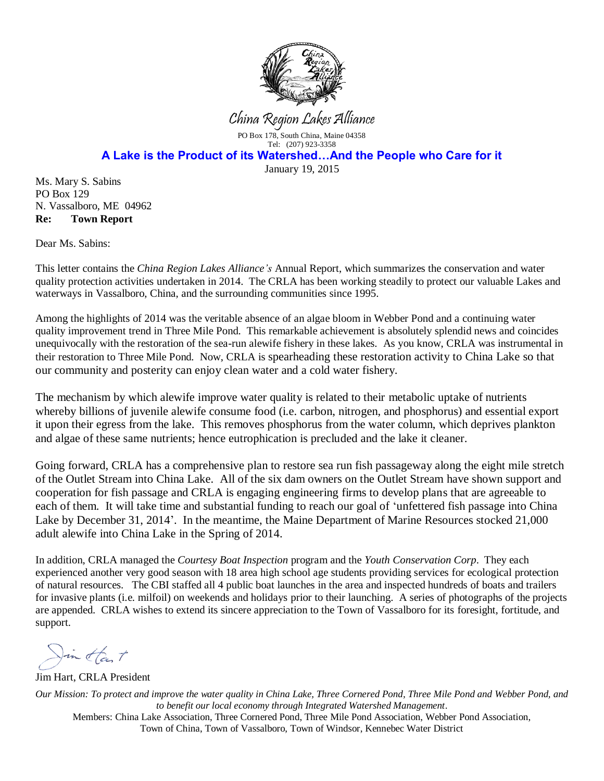

China Region Lakes Alliance

PO Box 178, South China, Maine 04358 Tel: (207) 923-3358

**A Lake is the Product of its Watershed…And the People who Care for it**

January 19, 2015

Ms. Mary S. Sabins PO Box 129 N. Vassalboro, ME 04962 **Re: Town Report**

Dear Ms. Sabins:

This letter contains the *China Region Lakes Alliance's* Annual Report, which summarizes the conservation and water quality protection activities undertaken in 2014. The CRLA has been working steadily to protect our valuable Lakes and waterways in Vassalboro, China, and the surrounding communities since 1995.

Among the highlights of 2014 was the veritable absence of an algae bloom in Webber Pond and a continuing water quality improvement trend in Three Mile Pond. This remarkable achievement is absolutely splendid news and coincides unequivocally with the restoration of the sea-run alewife fishery in these lakes. As you know, CRLA was instrumental in their restoration to Three Mile Pond. Now, CRLA is spearheading these restoration activity to China Lake so that our community and posterity can enjoy clean water and a cold water fishery.

The mechanism by which alewife improve water quality is related to their metabolic uptake of nutrients whereby billions of juvenile alewife consume food (i.e. carbon, nitrogen, and phosphorus) and essential export it upon their egress from the lake. This removes phosphorus from the water column, which deprives plankton and algae of these same nutrients; hence eutrophication is precluded and the lake it cleaner.

Going forward, CRLA has a comprehensive plan to restore sea run fish passageway along the eight mile stretch of the Outlet Stream into China Lake. All of the six dam owners on the Outlet Stream have shown support and cooperation for fish passage and CRLA is engaging engineering firms to develop plans that are agreeable to each of them. It will take time and substantial funding to reach our goal of 'unfettered fish passage into China Lake by December 31, 2014'. In the meantime, the Maine Department of Marine Resources stocked 21,000 adult alewife into China Lake in the Spring of 2014.

In addition, CRLA managed the *Courtesy Boat Inspection* program and the *Youth Conservation Corp*. They each experienced another very good season with 18 area high school age students providing services for ecological protection of natural resources. The CBI staffed all 4 public boat launches in the area and inspected hundreds of boats and trailers for invasive plants (i.e. milfoil) on weekends and holidays prior to their launching. A series of photographs of the projects are appended. CRLA wishes to extend its sincere appreciation to the Town of Vassalboro for its foresight, fortitude, and support.

Jin than t

Jim Hart, CRLA President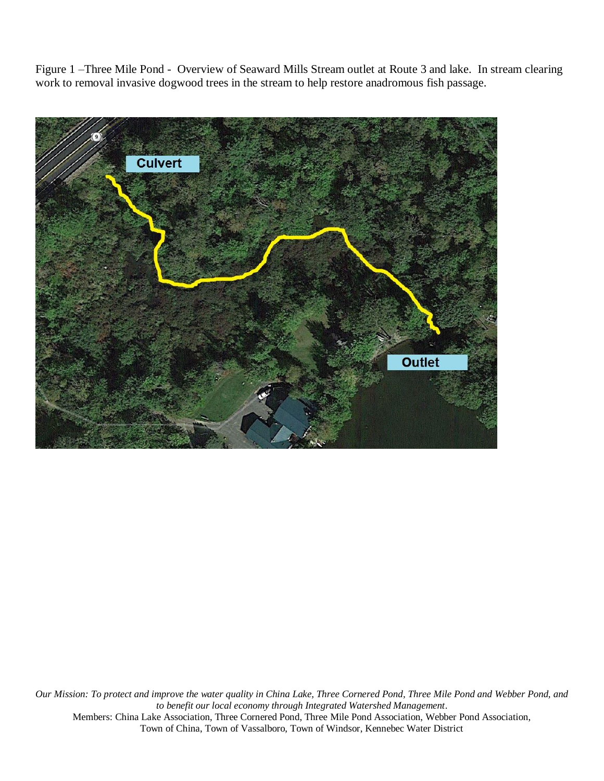Figure 1 –Three Mile Pond - Overview of Seaward Mills Stream outlet at Route 3 and lake. In stream clearing work to removal invasive dogwood trees in the stream to help restore anadromous fish passage.

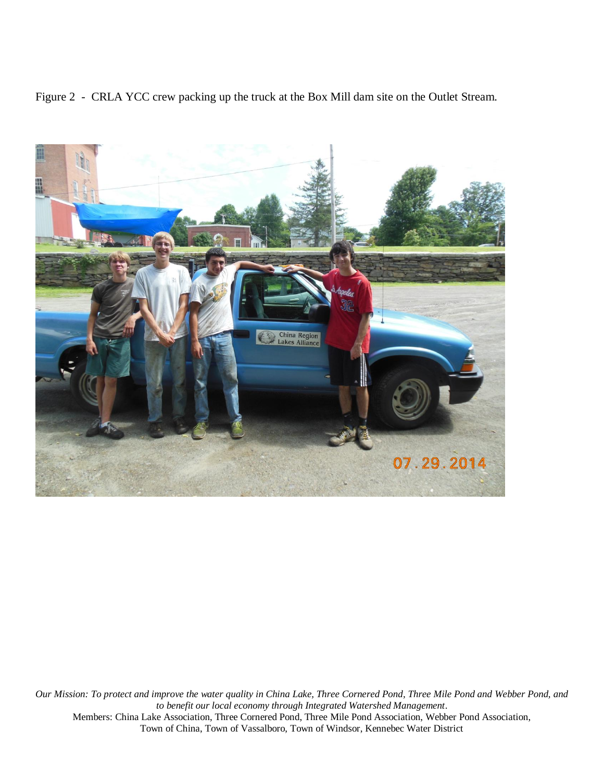Figure 2 - CRLA YCC crew packing up the truck at the Box Mill dam site on the Outlet Stream.